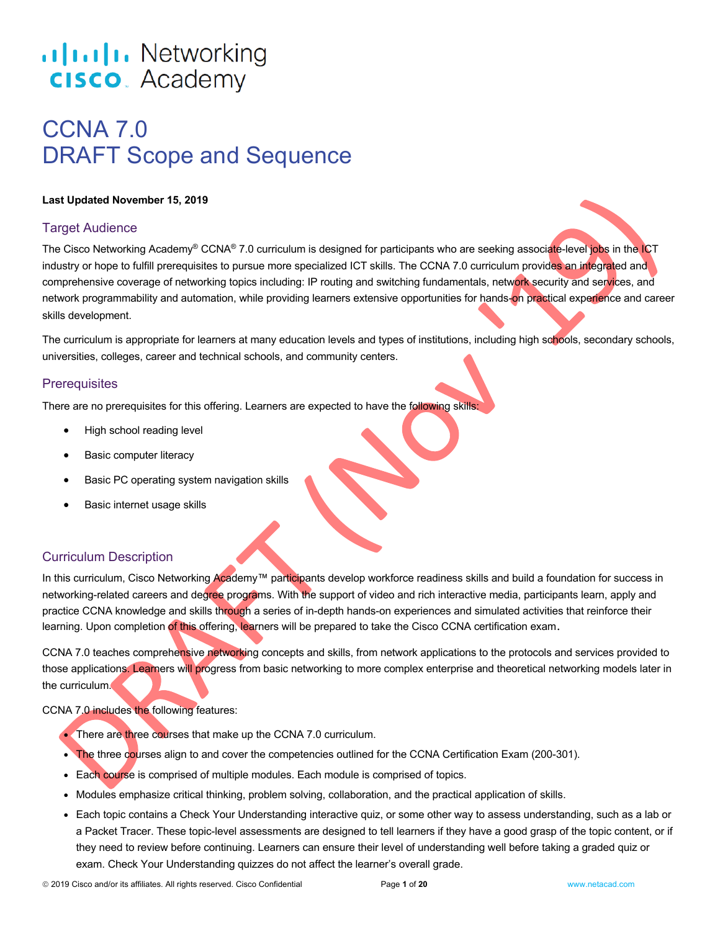# .**1|1.1|1.** Networking **CISCO**. Academy

# CCNA 7.0 DRAFT Scope and Sequence

#### **Last Updated November 15, 2019**

#### **Target Audience**

The Cisco Networking Academy<sup>®</sup> CCNA<sup>®</sup> 7.0 curriculum is designed for participants who are seeking associate-level jobs in the ICT industry or hope to fulfill prerequisites to pursue more specialized ICT skills. The CCNA 7.0 curriculum provides an integrated and comprehensive coverage of networking topics including: IP routing and switching fundamentals, network security and services, and network programmability and automation, while providing learners extensive opportunities for hands-on practical experience and career skills development.

The curriculum is appropriate for learners at many education levels and types of institutions, including high schools, secondary schools, universities, colleges, career and technical schools, and community centers.

#### **Prerequisites**

There are no prerequisites for this offering. Learners are expected to have the following skills:

- High school reading level
- Basic computer literacy
- Basic PC operating system navigation skills
- Basic internet usage skills

### Curriculum Description

In this curriculum, Cisco Networking Academy™ participants develop workforce readiness skills and build a foundation for success in networking-related careers and degree programs. With the support of video and rich interactive media, participants learn, apply and practice CCNA knowledge and skills through a series of in-depth hands-on experiences and simulated activities that reinforce their learning. Upon completion of this offering, learners will be prepared to take the Cisco CCNA certification exam.

CCNA 7.0 teaches comprehensive networking concepts and skills, from network applications to the protocols and services provided to those applications. Learners will progress from basic networking to more complex enterprise and theoretical networking models later in the curriculum.

#### CCNA 7.0 includes the following features:

- There are three courses that make up the CCNA 7.0 curriculum.
- The three courses align to and cover the competencies outlined for the CCNA Certification Exam (200-301).
- Each course is comprised of multiple modules. Each module is comprised of topics.
- Modules emphasize critical thinking, problem solving, collaboration, and the practical application of skills.
- Each topic contains a Check Your Understanding interactive quiz, or some other way to assess understanding, such as a lab or a Packet Tracer. These topic-level assessments are designed to tell learners if they have a good grasp of the topic content, or if they need to review before continuing. Learners can ensure their level of understanding well before taking a graded quiz or exam. Check Your Understanding quizzes do not affect the learner's overall grade.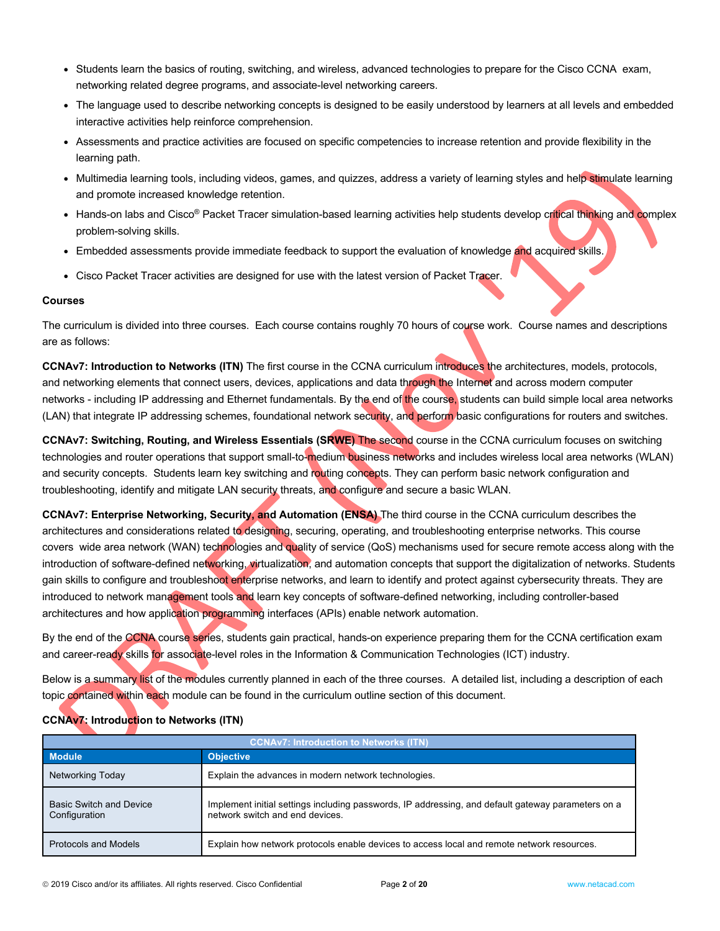- Students learn the basics of routing, switching, and wireless, advanced technologies to prepare for the Cisco CCNA exam, networking related degree programs, and associate-level networking careers.
- The language used to describe networking concepts is designed to be easily understood by learners at all levels and embedded interactive activities help reinforce comprehension.
- Assessments and practice activities are focused on specific competencies to increase retention and provide flexibility in the learning path.
- Multimedia learning tools, including videos, games, and quizzes, address a variety of learning styles and help stimulate learning and promote increased knowledge retention.
- Hands-on labs and Cisco® Packet Tracer simulation-based learning activities help students develop critical thinking and complex problem-solving skills.
- Embedded assessments provide immediate feedback to support the evaluation of knowledge and acquired skills.
- Cisco Packet Tracer activities are designed for use with the latest version of Packet Tracer.

#### **Courses**

The curriculum is divided into three courses. Each course contains roughly 70 hours of course work. Course names and descriptions are as follows:

**CCNAv7: Introduction to Networks (ITN)** The first course in the CCNA curriculum introduces the architectures, models, protocols, and networking elements that connect users, devices, applications and data through the Internet and across modern computer networks - including IP addressing and Ethernet fundamentals. By the end of the course, students can build simple local area networks (LAN) that integrate IP addressing schemes, foundational network security, and perform basic configurations for routers and switches.

**CCNAv7: Switching, Routing, and Wireless Essentials (SRWE)** The second course in the CCNA curriculum focuses on switching technologies and router operations that support small-to-medium business networks and includes wireless local area networks (WLAN) and security concepts. Students learn key switching and routing concepts. They can perform basic network configuration and troubleshooting, identify and mitigate LAN security threats, and configure and secure a basic WLAN.

**CCNAv7: Enterprise Networking, Security, and Automation (ENSA)** The third course in the CCNA curriculum describes the architectures and considerations related to designing, securing, operating, and troubleshooting enterprise networks. This course covers wide area network (WAN) technologies and quality of service (QoS) mechanisms used for secure remote access along with the introduction of software-defined networking, virtualization, and automation concepts that support the digitalization of networks. Students gain skills to configure and troubleshoot enterprise networks, and learn to identify and protect against cybersecurity threats. They are introduced to network management tools and learn key concepts of software-defined networking, including controller-based architectures and how application programming interfaces (APIs) enable network automation.

By the end of the CCNA course series, students gain practical, hands-on experience preparing them for the CCNA certification exam and career-ready skills for associate-level roles in the Information & Communication Technologies (ICT) industry.

Below is a summary list of the modules currently planned in each of the three courses. A detailed list, including a description of each topic contained within each module can be found in the curriculum outline section of this document.

| <b>CCNAv7: Introduction to Networks (ITN)</b>   |                                                                                                                                       |  |
|-------------------------------------------------|---------------------------------------------------------------------------------------------------------------------------------------|--|
| <b>Module</b>                                   | <b>Objective</b>                                                                                                                      |  |
| Networking Today                                | Explain the advances in modern network technologies.                                                                                  |  |
| <b>Basic Switch and Device</b><br>Configuration | Implement initial settings including passwords, IP addressing, and default gateway parameters on a<br>network switch and end devices. |  |
| Protocols and Models                            | Explain how network protocols enable devices to access local and remote network resources.                                            |  |

#### **CCNAv7: Introduction to Networks (ITN)**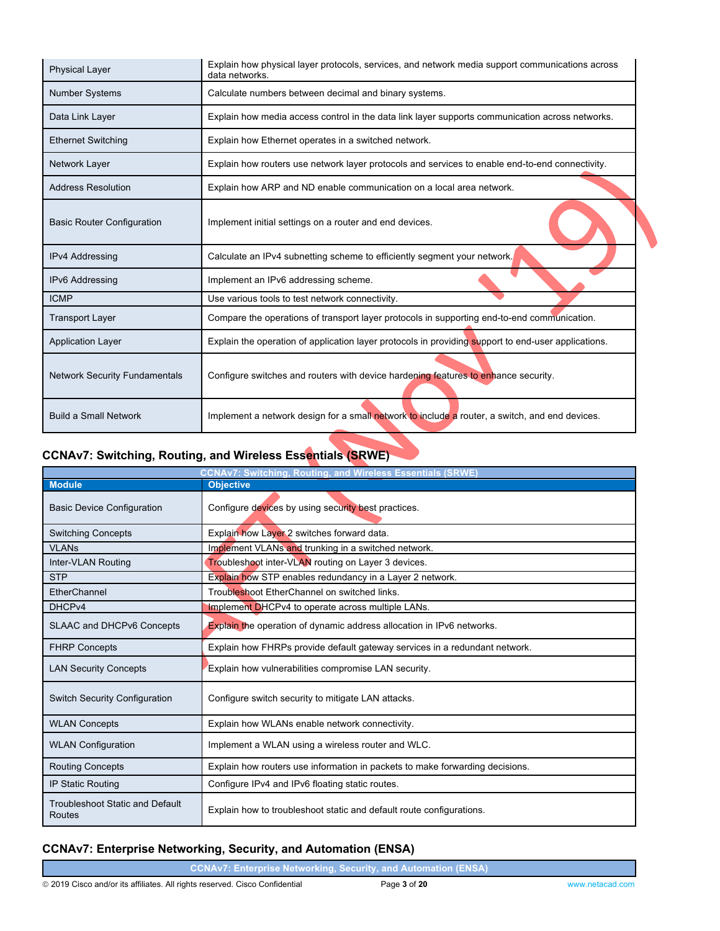| <b>Physical Layer</b>                | Explain how physical layer protocols, services, and network media support communications across<br>data networks. |  |  |
|--------------------------------------|-------------------------------------------------------------------------------------------------------------------|--|--|
| <b>Number Systems</b>                | Calculate numbers between decimal and binary systems.                                                             |  |  |
| Data Link Layer                      | Explain how media access control in the data link layer supports communication across networks.                   |  |  |
| <b>Ethernet Switching</b>            | Explain how Ethernet operates in a switched network.                                                              |  |  |
| Network Layer                        | Explain how routers use network layer protocols and services to enable end-to-end connectivity.                   |  |  |
| <b>Address Resolution</b>            | Explain how ARP and ND enable communication on a local area network.                                              |  |  |
| <b>Basic Router Configuration</b>    | Implement initial settings on a router and end devices.                                                           |  |  |
| <b>IPv4 Addressing</b>               | Calculate an IPv4 subnetting scheme to efficiently segment your network.                                          |  |  |
| IPv6 Addressing                      | Implement an IPv6 addressing scheme.                                                                              |  |  |
| <b>ICMP</b>                          | Use various tools to test network connectivity.                                                                   |  |  |
| <b>Transport Layer</b>               | Compare the operations of transport layer protocols in supporting end-to-end communication.                       |  |  |
| <b>Application Layer</b>             | Explain the operation of application layer protocols in providing support to end-user applications.               |  |  |
| <b>Network Security Fundamentals</b> | Configure switches and routers with device hardening features to enhance security.                                |  |  |
| <b>Build a Small Network</b>         | Implement a network design for a small network to include a router, a switch, and end devices.                    |  |  |

# **CCNAv7: Switching, Routing, and Wireless Essentials (SRWE)**

| <b>CCNAv7: Switching, Routing, and Wireless Essentials (SRWE)</b> |                                                                              |  |  |
|-------------------------------------------------------------------|------------------------------------------------------------------------------|--|--|
| <b>Module</b>                                                     | <b>Objective</b>                                                             |  |  |
| <b>Basic Device Configuration</b>                                 | Configure devices by using security best practices.                          |  |  |
| <b>Switching Concepts</b>                                         | Explain how Layer 2 switches forward data.                                   |  |  |
| <b>VLANs</b>                                                      | Implement VLANs and trunking in a switched network.                          |  |  |
| Inter-VLAN Routing                                                | Troubleshoot inter-VLAN routing on Layer 3 devices.                          |  |  |
| <b>STP</b>                                                        | Explain how STP enables redundancy in a Layer 2 network.                     |  |  |
| EtherChannel                                                      | Troubleshoot EtherChannel on switched links.                                 |  |  |
| DHCP <sub>v4</sub>                                                | Implement DHCPv4 to operate across multiple LANs.                            |  |  |
| <b>SLAAC and DHCPv6 Concepts</b>                                  | <b>Explain the operation of dynamic address allocation in IPv6 networks.</b> |  |  |
| <b>FHRP Concepts</b>                                              | Explain how FHRPs provide default gateway services in a redundant network.   |  |  |
| <b>LAN Security Concepts</b>                                      | Explain how vulnerabilities compromise LAN security.                         |  |  |
| <b>Switch Security Configuration</b>                              | Configure switch security to mitigate LAN attacks.                           |  |  |
| <b>WLAN Concepts</b>                                              | Explain how WLANs enable network connectivity.                               |  |  |
| <b>WLAN Configuration</b>                                         | Implement a WLAN using a wireless router and WLC.                            |  |  |
| <b>Routing Concepts</b>                                           | Explain how routers use information in packets to make forwarding decisions. |  |  |
| <b>IP Static Routing</b>                                          | Configure IPv4 and IPv6 floating static routes.                              |  |  |
| <b>Troubleshoot Static and Default</b><br>Routes                  | Explain how to troubleshoot static and default route configurations.         |  |  |

# **CCNAv7: Enterprise Networking, Security, and Automation (ENSA)**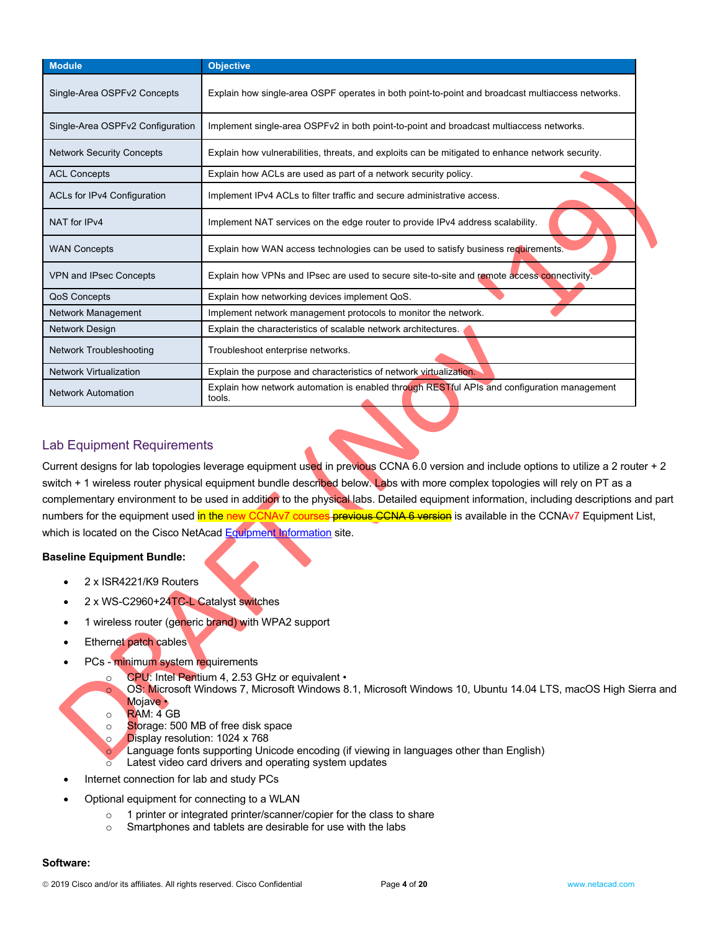| Module                             | <b>Objective</b>                                                                                      |  |
|------------------------------------|-------------------------------------------------------------------------------------------------------|--|
| Single-Area OSPFv2 Concepts        | Explain how single-area OSPF operates in both point-to-point and broadcast multiaccess networks.      |  |
| Single-Area OSPFv2 Configuration   | Implement single-area OSPFv2 in both point-to-point and broadcast multiaccess networks.               |  |
| <b>Network Security Concepts</b>   | Explain how vulnerabilities, threats, and exploits can be mitigated to enhance network security.      |  |
| <b>ACL Concepts</b>                | Explain how ACLs are used as part of a network security policy.                                       |  |
| <b>ACLs for IPv4 Configuration</b> | Implement IPv4 ACLs to filter traffic and secure administrative access.                               |  |
| NAT for IPv4                       | Implement NAT services on the edge router to provide IPv4 address scalability.                        |  |
| <b>WAN Concepts</b>                | Explain how WAN access technologies can be used to satisfy business requirements.                     |  |
| <b>VPN and IPsec Concepts</b>      | Explain how VPNs and IPsec are used to secure site-to-site and remote access connectivity.            |  |
| <b>QoS Concepts</b>                | Explain how networking devices implement QoS.                                                         |  |
| <b>Network Management</b>          | Implement network management protocols to monitor the network.                                        |  |
| Network Design                     | Explain the characteristics of scalable network architectures.                                        |  |
| <b>Network Troubleshooting</b>     | Troubleshoot enterprise networks.                                                                     |  |
| <b>Network Virtualization</b>      | Explain the purpose and characteristics of network virtualization.                                    |  |
| <b>Network Automation</b>          | Explain how network automation is enabled through RESTful APIs and configuration management<br>tools. |  |

### Lab Equipment Requirements

Current designs for lab topologies leverage equipment used in previous CCNA 6.0 version and include options to utilize a 2 router + 2 switch + 1 wireless router physical equipment bundle described below. Labs with more complex topologies will rely on PT as a complementary environment to be used in addition to the physical labs. Detailed equipment information, including descriptions and part numbers for the equipment used in the new CCNAv7 courses previous CCNA 6 version is available in the CCNAv7 Equipment List, which is located on the Cisco NetAcad Equipment Information site.

#### **Baseline Equipment Bundle:**

- 2 x ISR4221/K9 Routers
- 2 x WS-C2960+24TC-L Catalyst switches
- 1 wireless router (generic brand) with WPA2 support
- **Ethernet patch cables**
- PCs minimum system requirements
	- o CPU: Intel Pentium 4, 2.53 GHz or equivalent
		- OS: Microsoft Windows 7, Microsoft Windows 8.1, Microsoft Windows 10, Ubuntu 14.04 LTS, macOS High Sierra and Mojave •
	- o RAM: 4 GB
	- o Storage: 500 MB of free disk space
	- o Display resolution: 1024 x 768
	- Language fonts supporting Unicode encoding (if viewing in languages other than English)
	- Latest video card drivers and operating system updates
- Internet connection for lab and study PCs
- Optional equipment for connecting to a WLAN
	- o 1 printer or integrated printer/scanner/copier for the class to share
	- o Smartphones and tablets are desirable for use with the labs

#### **Software:**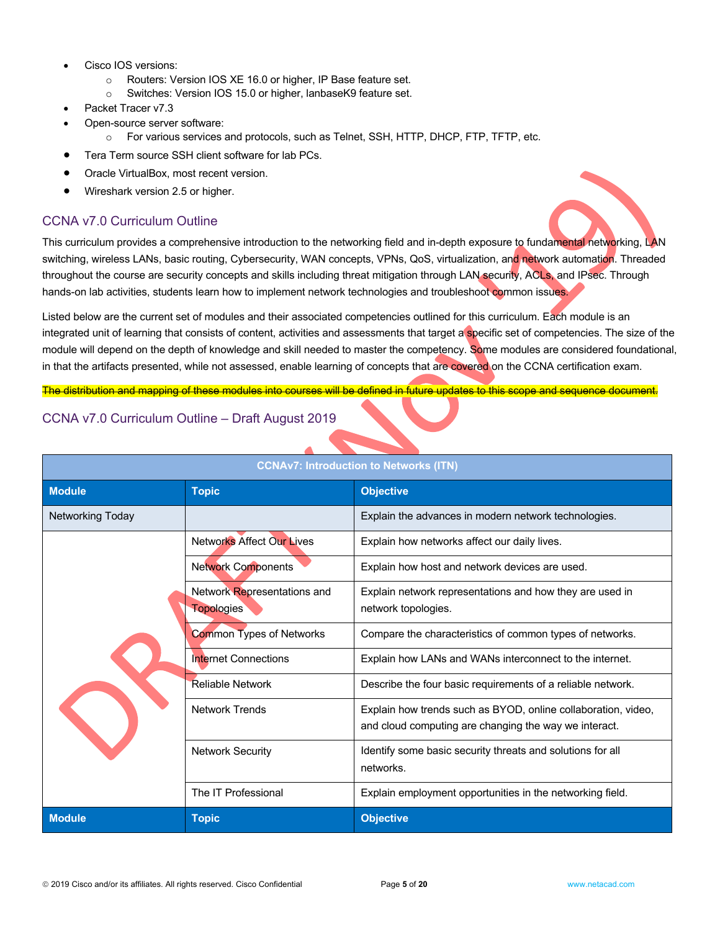- Cisco IOS versions:
	- o Routers: Version IOS XE 16.0 or higher, IP Base feature set.
	- o Switches: Version IOS 15.0 or higher, lanbaseK9 feature set.
- Packet Tracer v7.3
- Open-source server software:
	- o For various services and protocols, such as Telnet, SSH, HTTP, DHCP, FTP, TFTP, etc.
- Tera Term source SSH client software for lab PCs.
- Oracle VirtualBox, most recent version.
- Wireshark version 2.5 or higher.

## CCNA v7.0 Curriculum Outline

This curriculum provides a comprehensive introduction to the networking field and in-depth exposure to fundamental networking, LAN switching, wireless LANs, basic routing, Cybersecurity, WAN concepts, VPNs, QoS, virtualization, and network automation. Threaded throughout the course are security concepts and skills including threat mitigation through LAN security, ACLs, and IPsec. Through hands-on lab activities, students learn how to implement network technologies and troubleshoot common issues.

Listed below are the current set of modules and their associated competencies outlined for this curriculum. Each module is an integrated unit of learning that consists of content, activities and assessments that target a specific set of competencies. The size of the module will depend on the depth of knowledge and skill needed to master the competency. Some modules are considered foundational, in that the artifacts presented, while not assessed, enable learning of concepts that are covered on the CCNA certification exam.

The distribution and mapping of these modules into courses will be defined in future updates to this scope and sequence document.

## CCNA v7.0 Curriculum Outline – Draft August 2019

| <b>CCNAv7: Introduction to Networks (ITN)</b> |                                                  |                                                                                                                        |
|-----------------------------------------------|--------------------------------------------------|------------------------------------------------------------------------------------------------------------------------|
| <b>Module</b>                                 | <b>Topic</b>                                     | <b>Objective</b>                                                                                                       |
| Networking Today                              |                                                  | Explain the advances in modern network technologies.                                                                   |
|                                               | <b>Networks Affect Our Lives</b>                 | Explain how networks affect our daily lives.                                                                           |
|                                               | <b>Network Components</b>                        | Explain how host and network devices are used.                                                                         |
|                                               | Network Representations and<br><b>Topologies</b> | Explain network representations and how they are used in<br>network topologies.                                        |
|                                               | <b>Common Types of Networks</b>                  | Compare the characteristics of common types of networks.                                                               |
|                                               | <b>Internet Connections</b>                      | Explain how LANs and WANs interconnect to the internet.                                                                |
|                                               | <b>Reliable Network</b>                          | Describe the four basic requirements of a reliable network.                                                            |
|                                               | <b>Network Trends</b>                            | Explain how trends such as BYOD, online collaboration, video,<br>and cloud computing are changing the way we interact. |
|                                               | <b>Network Security</b>                          | Identify some basic security threats and solutions for all<br>networks.                                                |
|                                               | The IT Professional                              | Explain employment opportunities in the networking field.                                                              |
| <b>Module</b>                                 | <b>Topic</b>                                     | <b>Objective</b>                                                                                                       |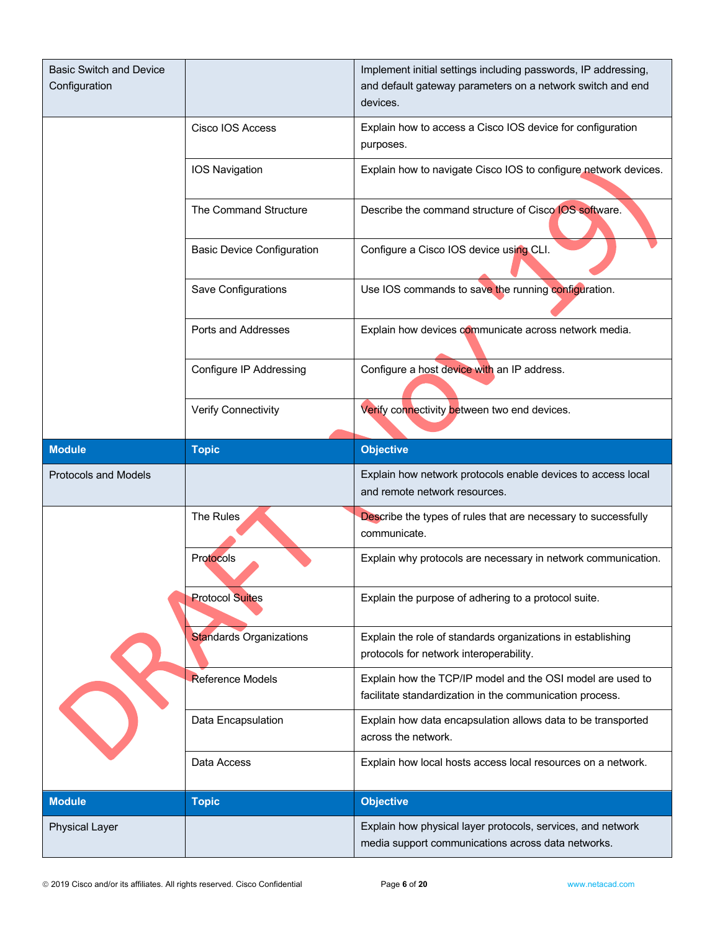| <b>Basic Switch and Device</b><br>Configuration |                                   | Implement initial settings including passwords, IP addressing,<br>and default gateway parameters on a network switch and end<br>devices. |
|-------------------------------------------------|-----------------------------------|------------------------------------------------------------------------------------------------------------------------------------------|
|                                                 | Cisco IOS Access                  | Explain how to access a Cisco IOS device for configuration<br>purposes.                                                                  |
|                                                 | IOS Navigation                    | Explain how to navigate Cisco IOS to configure network devices.                                                                          |
|                                                 | The Command Structure             | Describe the command structure of Cisco IOS software.                                                                                    |
|                                                 | <b>Basic Device Configuration</b> | Configure a Cisco IOS device using CLI.                                                                                                  |
|                                                 | Save Configurations               | Use IOS commands to save the running configuration.                                                                                      |
|                                                 | Ports and Addresses               | Explain how devices communicate across network media.                                                                                    |
|                                                 | <b>Configure IP Addressing</b>    | Configure a host device with an IP address.                                                                                              |
|                                                 | Verify Connectivity               | Verify connectivity between two end devices.                                                                                             |
| <b>Module</b>                                   | <b>Topic</b>                      | <b>Objective</b>                                                                                                                         |
|                                                 |                                   |                                                                                                                                          |
| Protocols and Models                            |                                   | Explain how network protocols enable devices to access local<br>and remote network resources.                                            |
|                                                 | The Rules                         | Describe the types of rules that are necessary to successfully<br>communicate.                                                           |
|                                                 | <b>Protocols</b>                  | Explain why protocols are necessary in network communication.                                                                            |
|                                                 | <b>Protocol Suites</b>            | Explain the purpose of adhering to a protocol suite.                                                                                     |
|                                                 | <b>Standards Organizations</b>    | Explain the role of standards organizations in establishing<br>protocols for network interoperability.                                   |
|                                                 | <b>Reference Models</b>           | Explain how the TCP/IP model and the OSI model are used to<br>facilitate standardization in the communication process.                   |
|                                                 | Data Encapsulation                | Explain how data encapsulation allows data to be transported<br>across the network.                                                      |
|                                                 | Data Access                       | Explain how local hosts access local resources on a network.                                                                             |
| <b>Module</b>                                   | <b>Topic</b>                      | <b>Objective</b>                                                                                                                         |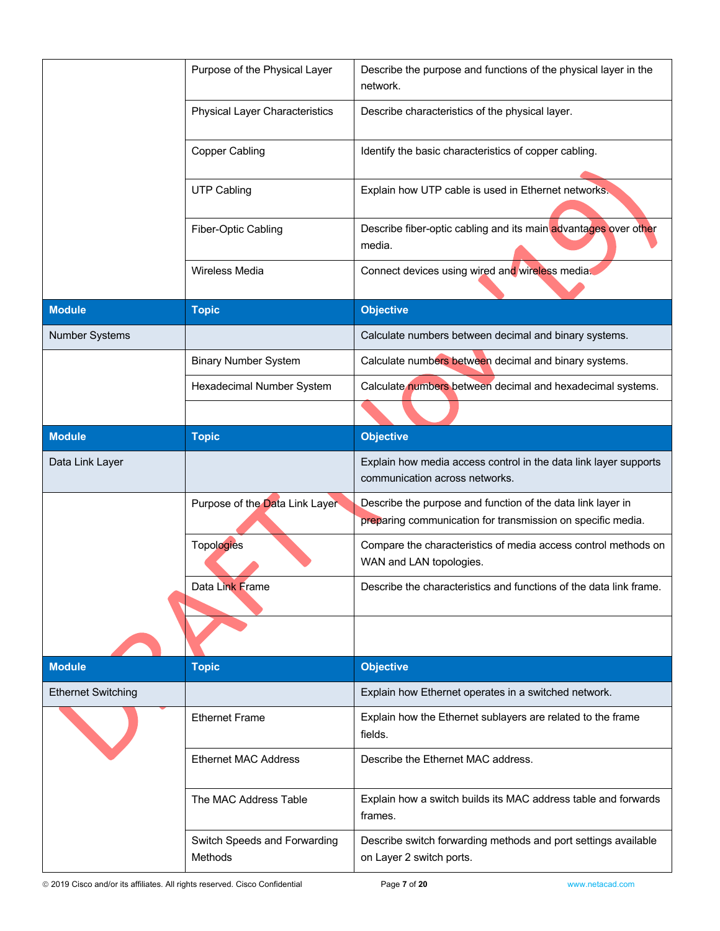| Describe the purpose and functions of the physical layer in the                                                            |
|----------------------------------------------------------------------------------------------------------------------------|
| Describe characteristics of the physical layer.                                                                            |
| Identify the basic characteristics of copper cabling.                                                                      |
| Explain how UTP cable is used in Ethernet networks.                                                                        |
| Describe fiber-optic cabling and its main advantages over other                                                            |
| Connect devices using wired and wireless media.                                                                            |
|                                                                                                                            |
| Calculate numbers between decimal and binary systems.                                                                      |
| Calculate numbers between decimal and binary systems.                                                                      |
| Calculate numbers between decimal and hexadecimal systems.                                                                 |
|                                                                                                                            |
|                                                                                                                            |
|                                                                                                                            |
| Explain how media access control in the data link layer supports<br>communication across networks.                         |
| Describe the purpose and function of the data link layer in<br>preparing communication for transmission on specific media. |
| Compare the characteristics of media access control methods on                                                             |
| Describe the characteristics and functions of the data link frame.                                                         |
|                                                                                                                            |
|                                                                                                                            |
| Explain how Ethernet operates in a switched network.                                                                       |
| Explain how the Ethernet sublayers are related to the frame                                                                |
| Describe the Ethernet MAC address.                                                                                         |
| Explain how a switch builds its MAC address table and forwards                                                             |
|                                                                                                                            |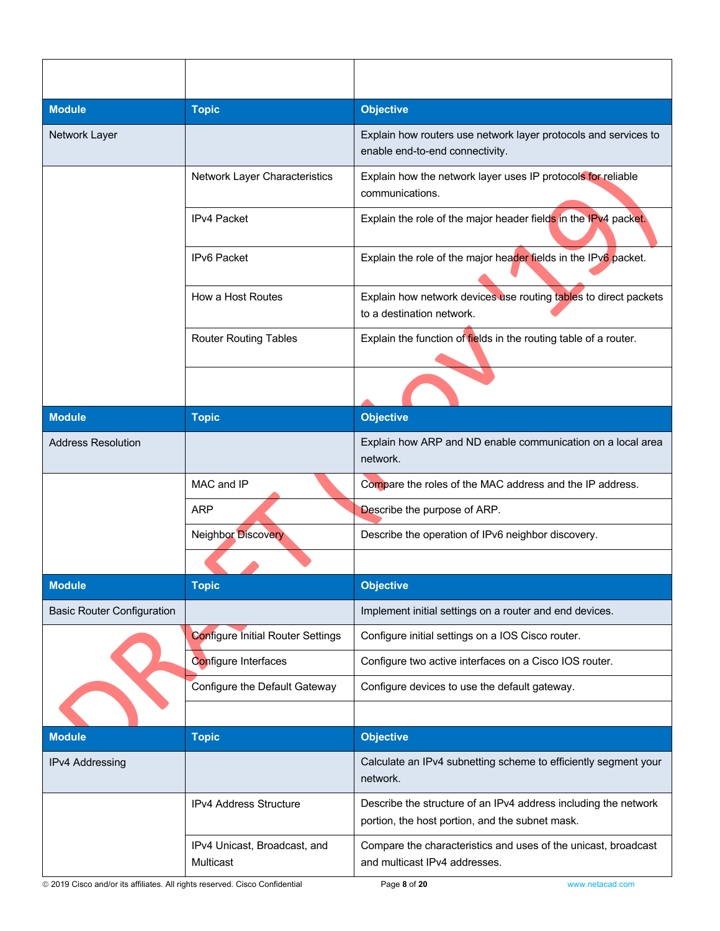| <b>Module</b>                     | <b>Topic</b>                              | <b>Objective</b>                                                                                                   |
|-----------------------------------|-------------------------------------------|--------------------------------------------------------------------------------------------------------------------|
| Network Layer                     |                                           | Explain how routers use network layer protocols and services to<br>enable end-to-end connectivity.                 |
|                                   | Network Layer Characteristics             | Explain how the network layer uses IP protocols for reliable<br>communications.                                    |
|                                   | <b>IPv4 Packet</b>                        | Explain the role of the major header fields in the IPv4 packet.                                                    |
|                                   | <b>IPv6 Packet</b>                        | Explain the role of the major header fields in the IPv6 packet.                                                    |
|                                   | How a Host Routes                         | Explain how network devices use routing tables to direct packets<br>to a destination network.                      |
|                                   | <b>Router Routing Tables</b>              | Explain the function of fields in the routing table of a router.                                                   |
|                                   |                                           |                                                                                                                    |
| <b>Module</b>                     | <b>Topic</b>                              | <b>Objective</b>                                                                                                   |
| <b>Address Resolution</b>         |                                           | Explain how ARP and ND enable communication on a local area<br>network.                                            |
|                                   | MAC and IP                                | Compare the roles of the MAC address and the IP address.                                                           |
|                                   | <b>ARP</b>                                | Describe the purpose of ARP.                                                                                       |
|                                   | <b>Neighbor Discovery</b>                 | Describe the operation of IPv6 neighbor discovery.                                                                 |
|                                   |                                           |                                                                                                                    |
| <b>Module</b>                     | <b>Topic</b>                              | <b>Objective</b>                                                                                                   |
| <b>Basic Router Configuration</b> |                                           | Implement initial settings on a router and end devices.                                                            |
|                                   | <b>Configure Initial Router Settings</b>  | Configure initial settings on a IOS Cisco router.                                                                  |
|                                   | Configure Interfaces                      | Configure two active interfaces on a Cisco IOS router.                                                             |
|                                   | Configure the Default Gateway             | Configure devices to use the default gateway.                                                                      |
|                                   |                                           |                                                                                                                    |
| <b>Module</b>                     | <b>Topic</b>                              | <b>Objective</b>                                                                                                   |
| IPv4 Addressing                   |                                           | Calculate an IPv4 subnetting scheme to efficiently segment your<br>network.                                        |
|                                   | IPv4 Address Structure                    | Describe the structure of an IPv4 address including the network<br>portion, the host portion, and the subnet mask. |
|                                   | IPv4 Unicast, Broadcast, and<br>Multicast | Compare the characteristics and uses of the unicast, broadcast<br>and multicast IPv4 addresses.                    |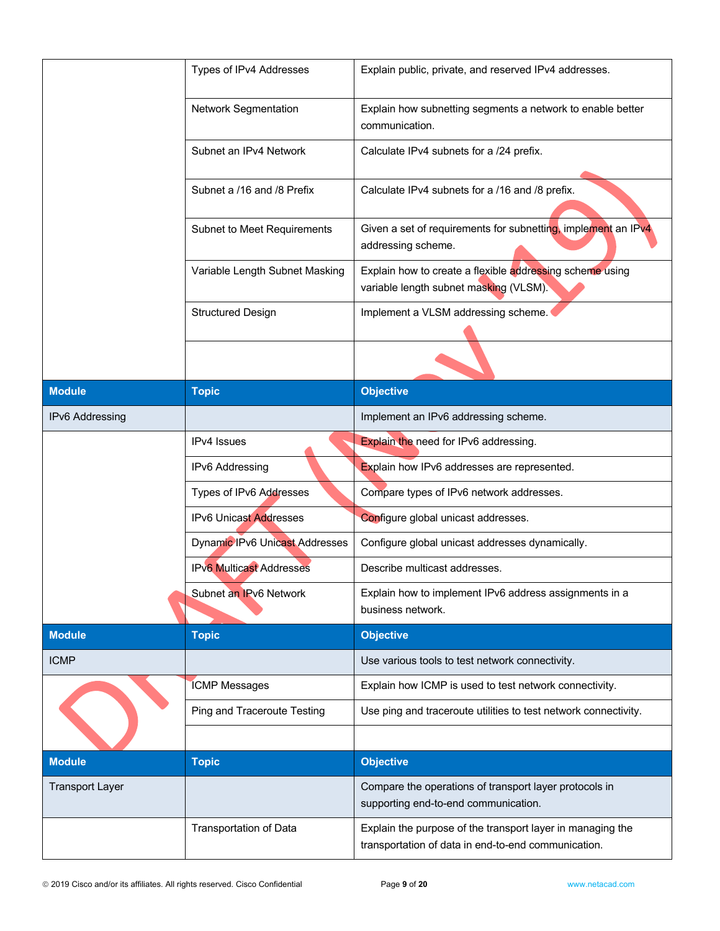|                        | Types of IPv4 Addresses         | Explain public, private, and reserved IPv4 addresses.                                                             |
|------------------------|---------------------------------|-------------------------------------------------------------------------------------------------------------------|
|                        | Network Segmentation            | Explain how subnetting segments a network to enable better<br>communication.                                      |
|                        | Subnet an IPv4 Network          | Calculate IPv4 subnets for a /24 prefix.                                                                          |
|                        | Subnet a /16 and /8 Prefix      | Calculate IPv4 subnets for a /16 and /8 prefix.                                                                   |
|                        | Subnet to Meet Requirements     | Given a set of requirements for subnetting, implement an IPv4<br>addressing scheme.                               |
|                        | Variable Length Subnet Masking  | Explain how to create a flexible addressing scheme using<br>variable length subnet masking (VLSM).                |
|                        | <b>Structured Design</b>        | Implement a VLSM addressing scheme.                                                                               |
|                        |                                 |                                                                                                                   |
| <b>Module</b>          | <b>Topic</b>                    | <b>Objective</b>                                                                                                  |
| IPv6 Addressing        |                                 | Implement an IPv6 addressing scheme.                                                                              |
|                        | <b>IPv4</b> Issues              | Explain the need for IPv6 addressing.                                                                             |
|                        | IPv6 Addressing                 | Explain how IPv6 addresses are represented.                                                                       |
|                        | Types of IPv6 Addresses         | Compare types of IPv6 network addresses.                                                                          |
|                        | <b>IPv6 Unicast Addresses</b>   | Configure global unicast addresses.                                                                               |
|                        | Dynamic IPv6 Unicast Addresses  | Configure global unicast addresses dynamically.                                                                   |
|                        | <b>IPv6 Multicast Addresses</b> | Describe multicast addresses.                                                                                     |
|                        | Subnet an IPv6 Network          | Explain how to implement IPv6 address assignments in a<br>business network.                                       |
| <b>Module</b>          | <b>Topic</b>                    | <b>Objective</b>                                                                                                  |
| <b>ICMP</b>            |                                 | Use various tools to test network connectivity.                                                                   |
|                        | <b>ICMP Messages</b>            | Explain how ICMP is used to test network connectivity.                                                            |
|                        | Ping and Traceroute Testing     | Use ping and traceroute utilities to test network connectivity.                                                   |
|                        |                                 |                                                                                                                   |
| <b>Module</b>          | <b>Topic</b>                    | <b>Objective</b>                                                                                                  |
| <b>Transport Layer</b> |                                 | Compare the operations of transport layer protocols in<br>supporting end-to-end communication.                    |
|                        | Transportation of Data          | Explain the purpose of the transport layer in managing the<br>transportation of data in end-to-end communication. |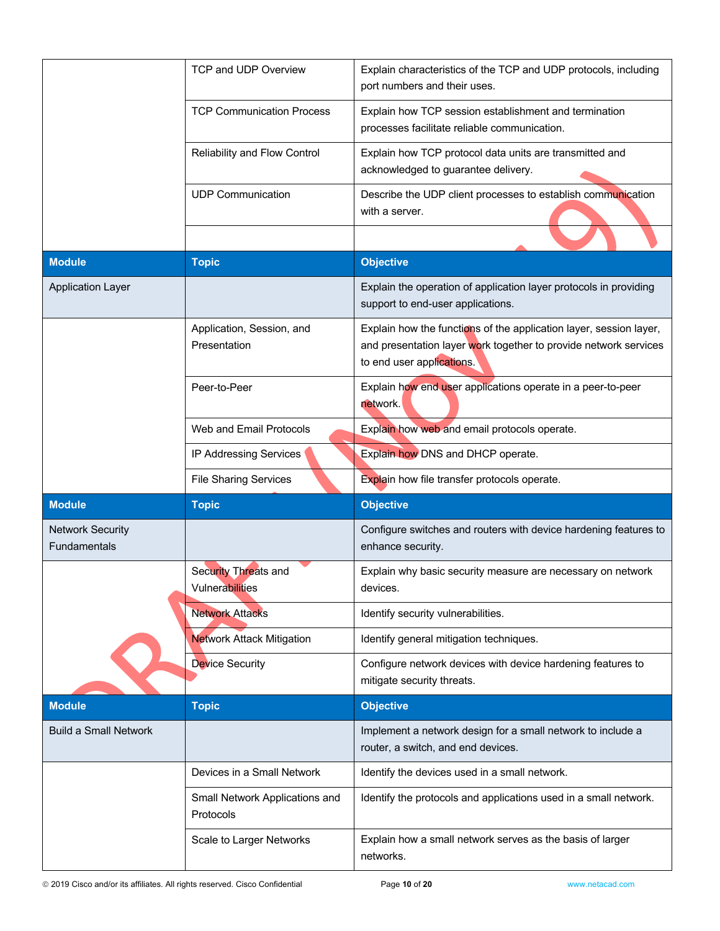|                                                | TCP and UDP Overview                           | Explain characteristics of the TCP and UDP protocols, including<br>port numbers and their uses.                                                                     |
|------------------------------------------------|------------------------------------------------|---------------------------------------------------------------------------------------------------------------------------------------------------------------------|
|                                                | <b>TCP Communication Process</b>               | Explain how TCP session establishment and termination<br>processes facilitate reliable communication.                                                               |
|                                                | Reliability and Flow Control                   | Explain how TCP protocol data units are transmitted and<br>acknowledged to guarantee delivery.                                                                      |
|                                                | <b>UDP Communication</b>                       | Describe the UDP client processes to establish communication<br>with a server.                                                                                      |
| <b>Module</b>                                  | <b>Topic</b>                                   | <b>Objective</b>                                                                                                                                                    |
| <b>Application Layer</b>                       |                                                | Explain the operation of application layer protocols in providing<br>support to end-user applications.                                                              |
|                                                | Application, Session, and<br>Presentation      | Explain how the functions of the application layer, session layer,<br>and presentation layer work together to provide network services<br>to end user applications. |
|                                                | Peer-to-Peer                                   | Explain how end user applications operate in a peer-to-peer<br>network.                                                                                             |
|                                                | Web and Email Protocols                        | Explain how web and email protocols operate.                                                                                                                        |
|                                                | IP Addressing Services                         | Explain how DNS and DHCP operate.                                                                                                                                   |
|                                                |                                                |                                                                                                                                                                     |
|                                                | <b>File Sharing Services</b>                   | Explain how file transfer protocols operate.                                                                                                                        |
| <b>Module</b>                                  | <b>Topic</b>                                   | <b>Objective</b>                                                                                                                                                    |
| <b>Network Security</b><br><b>Fundamentals</b> |                                                | Configure switches and routers with device hardening features to<br>enhance security.                                                                               |
|                                                | <b>Security Threats and</b><br>Vulnerabilities | Explain why basic security measure are necessary on network<br>devices.                                                                                             |
|                                                | <b>Network Attacks</b>                         | Identify security vulnerabilities.                                                                                                                                  |
|                                                | <b>Network Attack Mitigation</b>               | Identify general mitigation techniques.                                                                                                                             |
|                                                | Device Security                                | Configure network devices with device hardening features to<br>mitigate security threats.                                                                           |
| <b>Module</b>                                  | <b>Topic</b>                                   | <b>Objective</b>                                                                                                                                                    |
| <b>Build a Small Network</b>                   |                                                | Implement a network design for a small network to include a<br>router, a switch, and end devices.                                                                   |
|                                                | Devices in a Small Network                     | Identify the devices used in a small network.                                                                                                                       |
|                                                | Small Network Applications and<br>Protocols    | Identify the protocols and applications used in a small network.                                                                                                    |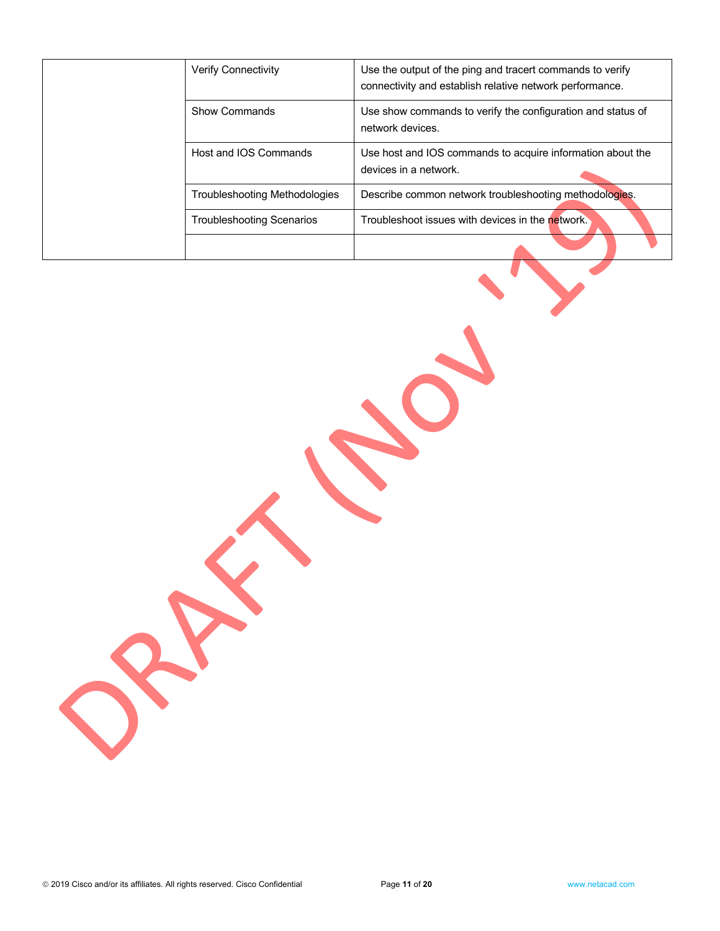|  | <b>Verify Connectivity</b>           | Use the output of the ping and tracert commands to verify<br>connectivity and establish relative network performance. |
|--|--------------------------------------|-----------------------------------------------------------------------------------------------------------------------|
|  | Show Commands                        | Use show commands to verify the configuration and status of<br>network devices.                                       |
|  | Host and IOS Commands                | Use host and IOS commands to acquire information about the<br>devices in a network.                                   |
|  | <b>Troubleshooting Methodologies</b> | Describe common network troubleshooting methodologies.                                                                |
|  | <b>Troubleshooting Scenarios</b>     | Troubleshoot issues with devices in the network.                                                                      |
|  |                                      |                                                                                                                       |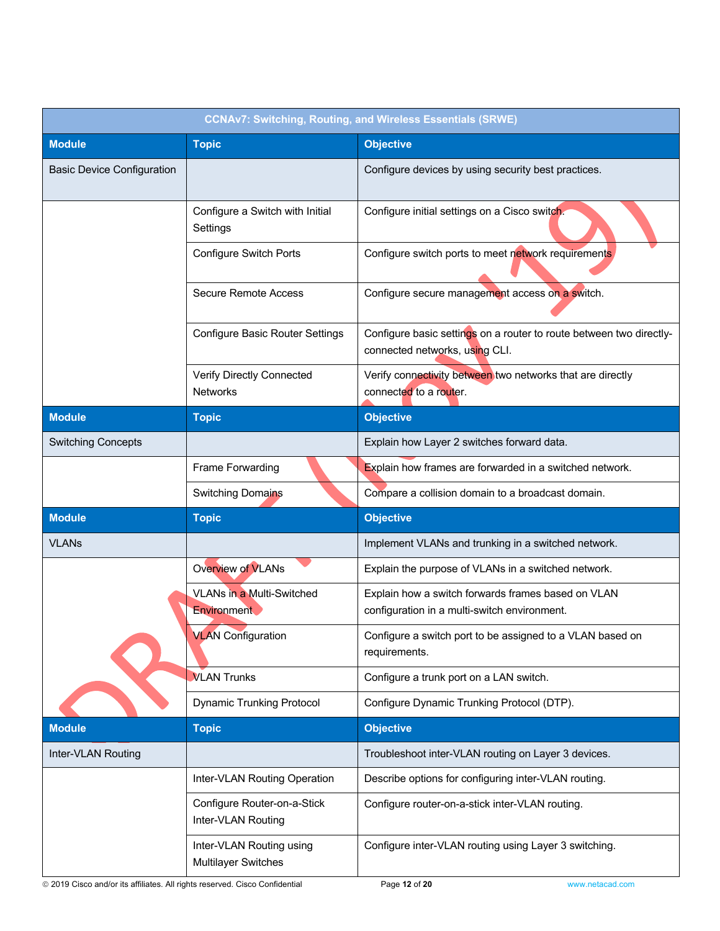| <b>CCNAv7: Switching, Routing, and Wireless Essentials (SRWE)</b> |                                                        |                                                                                                       |
|-------------------------------------------------------------------|--------------------------------------------------------|-------------------------------------------------------------------------------------------------------|
| <b>Module</b>                                                     | <b>Topic</b>                                           | <b>Objective</b>                                                                                      |
| <b>Basic Device Configuration</b>                                 |                                                        | Configure devices by using security best practices.                                                   |
|                                                                   | Configure a Switch with Initial<br>Settings            | Configure initial settings on a Cisco switch.                                                         |
|                                                                   | <b>Configure Switch Ports</b>                          | Configure switch ports to meet network requirements                                                   |
|                                                                   | <b>Secure Remote Access</b>                            | Configure secure management access on a switch.                                                       |
|                                                                   | <b>Configure Basic Router Settings</b>                 | Configure basic settings on a router to route between two directly-<br>connected networks, using CLI. |
|                                                                   | Verify Directly Connected<br><b>Networks</b>           | Verify connectivity between two networks that are directly<br>connected to a router.                  |
| <b>Module</b>                                                     | <b>Topic</b>                                           | <b>Objective</b>                                                                                      |
| <b>Switching Concepts</b>                                         |                                                        | Explain how Layer 2 switches forward data.                                                            |
|                                                                   | Frame Forwarding                                       | Explain how frames are forwarded in a switched network.                                               |
|                                                                   | <b>Switching Domains</b>                               | Compare a collision domain to a broadcast domain.                                                     |
| <b>Module</b>                                                     | <b>Topic</b>                                           | <b>Objective</b>                                                                                      |
| <b>VLANs</b>                                                      |                                                        | Implement VLANs and trunking in a switched network.                                                   |
|                                                                   | <b>Overview of VLANs</b>                               | Explain the purpose of VLANs in a switched network.                                                   |
|                                                                   | VLANs in a Multi-Switched<br>Environment               | Explain how a switch forwards frames based on VLAN<br>configuration in a multi-switch environment.    |
|                                                                   | <b>VLAN</b> Configuration                              | Configure a switch port to be assigned to a VLAN based on<br>requirements.                            |
|                                                                   | <b>VLAN Trunks</b>                                     | Configure a trunk port on a LAN switch.                                                               |
|                                                                   | <b>Dynamic Trunking Protocol</b>                       | Configure Dynamic Trunking Protocol (DTP).                                                            |
| <b>Module</b>                                                     | <b>Topic</b>                                           | <b>Objective</b>                                                                                      |
| Inter-VLAN Routing                                                |                                                        | Troubleshoot inter-VLAN routing on Layer 3 devices.                                                   |
|                                                                   | Inter-VLAN Routing Operation                           | Describe options for configuring inter-VLAN routing.                                                  |
|                                                                   | Configure Router-on-a-Stick<br>Inter-VLAN Routing      | Configure router-on-a-stick inter-VLAN routing.                                                       |
|                                                                   | Inter-VLAN Routing using<br><b>Multilayer Switches</b> | Configure inter-VLAN routing using Layer 3 switching.                                                 |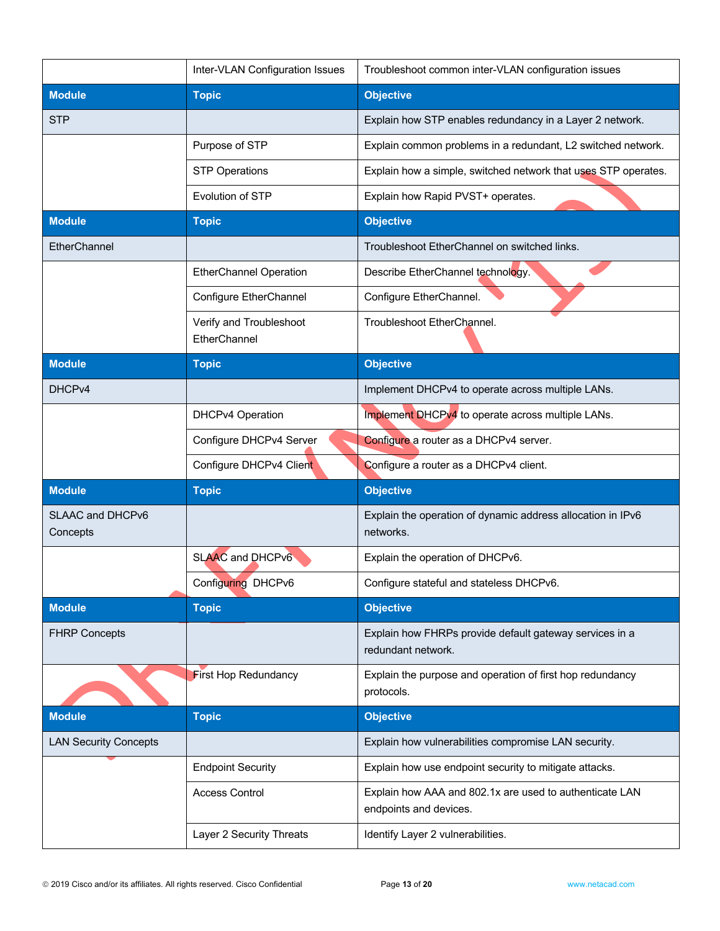|                              | Inter-VLAN Configuration Issues         | Troubleshoot common inter-VLAN configuration issues                               |
|------------------------------|-----------------------------------------|-----------------------------------------------------------------------------------|
| <b>Module</b>                | <b>Topic</b>                            | <b>Objective</b>                                                                  |
| <b>STP</b>                   |                                         | Explain how STP enables redundancy in a Layer 2 network.                          |
|                              | Purpose of STP                          | Explain common problems in a redundant, L2 switched network.                      |
|                              | <b>STP Operations</b>                   | Explain how a simple, switched network that uses STP operates.                    |
|                              | Evolution of STP                        | Explain how Rapid PVST+ operates.                                                 |
| <b>Module</b>                | <b>Topic</b>                            | <b>Objective</b>                                                                  |
| EtherChannel                 |                                         | Troubleshoot EtherChannel on switched links.                                      |
|                              | <b>EtherChannel Operation</b>           | Describe EtherChannel technology.                                                 |
|                              | Configure EtherChannel                  | Configure EtherChannel.                                                           |
|                              | Verify and Troubleshoot<br>EtherChannel | Troubleshoot EtherChannel.                                                        |
| <b>Module</b>                | <b>Topic</b>                            | <b>Objective</b>                                                                  |
| DHCP <sub>v4</sub>           |                                         | Implement DHCPv4 to operate across multiple LANs.                                 |
|                              | DHCPv4 Operation                        | Implement DHCPv4 to operate across multiple LANs.                                 |
|                              | Configure DHCPv4 Server                 | Configure a router as a DHCPv4 server.                                            |
|                              | Configure DHCPv4 Client                 | Configure a router as a DHCPv4 client.                                            |
| <b>Module</b>                | <b>Topic</b>                            | <b>Objective</b>                                                                  |
| SLAAC and DHCPv6<br>Concepts |                                         | Explain the operation of dynamic address allocation in IPv6<br>networks.          |
|                              | <b>SLAAC and DHCPv6</b>                 | Explain the operation of DHCPv6.                                                  |
|                              | Configuring DHCPv6                      | Configure stateful and stateless DHCPv6.                                          |
| <b>Module</b>                | <b>Topic</b>                            | <b>Objective</b>                                                                  |
| <b>FHRP Concepts</b>         |                                         | Explain how FHRPs provide default gateway services in a<br>redundant network.     |
|                              | <b>First Hop Redundancy</b>             | Explain the purpose and operation of first hop redundancy<br>protocols.           |
| <b>Module</b>                | <b>Topic</b>                            | <b>Objective</b>                                                                  |
| <b>LAN Security Concepts</b> |                                         | Explain how vulnerabilities compromise LAN security.                              |
|                              | <b>Endpoint Security</b>                | Explain how use endpoint security to mitigate attacks.                            |
|                              | <b>Access Control</b>                   | Explain how AAA and 802.1x are used to authenticate LAN<br>endpoints and devices. |
|                              | Layer 2 Security Threats                | Identify Layer 2 vulnerabilities.                                                 |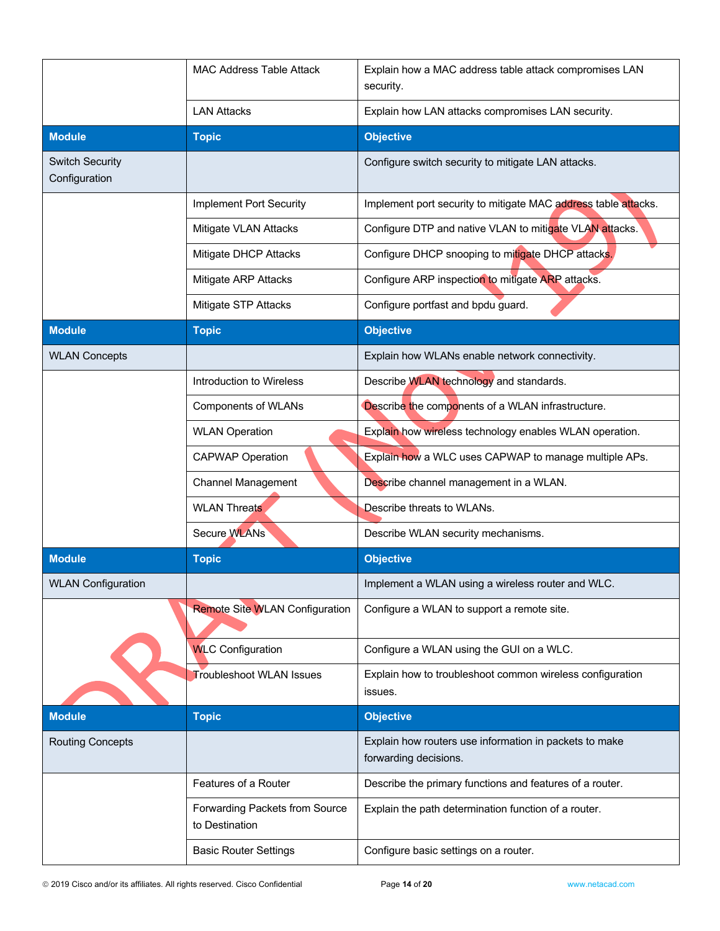|                                         | <b>MAC Address Table Attack</b>                  | Explain how a MAC address table attack compromises LAN<br>security.             |
|-----------------------------------------|--------------------------------------------------|---------------------------------------------------------------------------------|
|                                         | <b>LAN Attacks</b>                               | Explain how LAN attacks compromises LAN security.                               |
| <b>Module</b>                           | <b>Topic</b>                                     | <b>Objective</b>                                                                |
| <b>Switch Security</b><br>Configuration |                                                  | Configure switch security to mitigate LAN attacks.                              |
|                                         | <b>Implement Port Security</b>                   | Implement port security to mitigate MAC address table attacks.                  |
|                                         | Mitigate VLAN Attacks                            | Configure DTP and native VLAN to mitigate VLAN attacks.                         |
|                                         | Mitigate DHCP Attacks                            | Configure DHCP snooping to mitigate DHCP attacks.                               |
|                                         | Mitigate ARP Attacks                             | Configure ARP inspection to mitigate ARP attacks.                               |
|                                         | Mitigate STP Attacks                             | Configure portfast and bpdu guard.                                              |
| <b>Module</b>                           | <b>Topic</b>                                     | <b>Objective</b>                                                                |
| <b>WLAN Concepts</b>                    |                                                  | Explain how WLANs enable network connectivity.                                  |
|                                         | Introduction to Wireless                         | Describe WLAN technology and standards.                                         |
|                                         | <b>Components of WLANs</b>                       | Describe the components of a WLAN infrastructure.                               |
|                                         | <b>WLAN Operation</b>                            | Explain how wireless technology enables WLAN operation.                         |
|                                         | <b>CAPWAP Operation</b>                          | Explain how a WLC uses CAPWAP to manage multiple APs.                           |
|                                         | <b>Channel Management</b>                        | Describe channel management in a WLAN.                                          |
|                                         | <b>WLAN Threats</b>                              | Describe threats to WLANs.                                                      |
|                                         | Secure WLANs                                     | Describe WLAN security mechanisms.                                              |
| <b>Module</b>                           | <b>Topic</b>                                     | <b>Objective</b>                                                                |
| <b>WLAN Configuration</b>               |                                                  | Implement a WLAN using a wireless router and WLC.                               |
|                                         | <b>Remote Site WLAN Configuration</b>            | Configure a WLAN to support a remote site.                                      |
|                                         | <b>WLC Configuration</b>                         | Configure a WLAN using the GUI on a WLC.                                        |
|                                         | <b>Troubleshoot WLAN Issues</b>                  | Explain how to troubleshoot common wireless configuration<br>issues.            |
| <b>Module</b>                           | <b>Topic</b>                                     | <b>Objective</b>                                                                |
| <b>Routing Concepts</b>                 |                                                  | Explain how routers use information in packets to make<br>forwarding decisions. |
|                                         | Features of a Router                             | Describe the primary functions and features of a router.                        |
|                                         | Forwarding Packets from Source<br>to Destination | Explain the path determination function of a router.                            |
|                                         | <b>Basic Router Settings</b>                     | Configure basic settings on a router.                                           |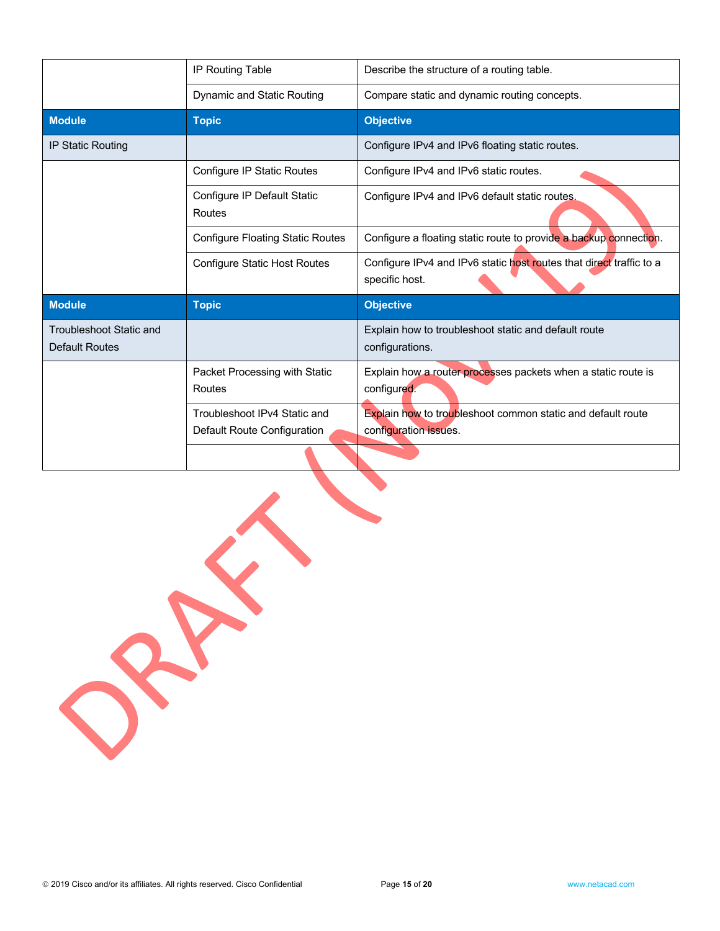|                                                  | <b>IP Routing Table</b>                                     | Describe the structure of a routing table.                                                  |
|--------------------------------------------------|-------------------------------------------------------------|---------------------------------------------------------------------------------------------|
|                                                  | Dynamic and Static Routing                                  | Compare static and dynamic routing concepts.                                                |
| <b>Module</b>                                    | <b>Topic</b>                                                | <b>Objective</b>                                                                            |
| <b>IP Static Routing</b>                         |                                                             | Configure IPv4 and IPv6 floating static routes.                                             |
|                                                  | Configure IP Static Routes                                  | Configure IPv4 and IPv6 static routes.                                                      |
|                                                  | Configure IP Default Static<br>Routes                       | Configure IPv4 and IPv6 default static routes.                                              |
|                                                  | <b>Configure Floating Static Routes</b>                     | Configure a floating static route to provide a backup connection.                           |
|                                                  | <b>Configure Static Host Routes</b>                         | Configure IPv4 and IPv6 static host routes that direct traffic to a<br>specific host.       |
| <b>Module</b>                                    | <b>Topic</b>                                                | <b>Objective</b>                                                                            |
| Troubleshoot Static and<br><b>Default Routes</b> |                                                             | Explain how to troubleshoot static and default route<br>configurations.                     |
|                                                  | Packet Processing with Static<br>Routes                     | Explain how a router processes packets when a static route is<br>configured.                |
|                                                  | Troubleshoot IPv4 Static and<br>Default Route Configuration | <b>Explain how to troubleshoot common static and default route</b><br>configuration issues. |
|                                                  |                                                             |                                                                                             |

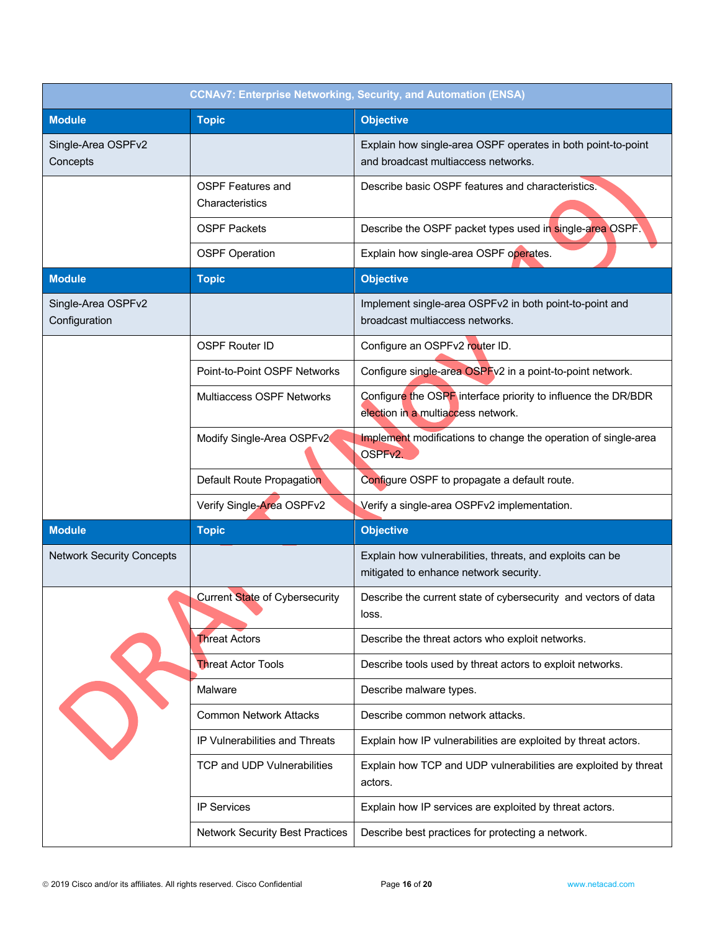| <b>CCNAv7: Enterprise Networking, Security, and Automation (ENSA)</b> |                                             |                                                                                                     |
|-----------------------------------------------------------------------|---------------------------------------------|-----------------------------------------------------------------------------------------------------|
| <b>Module</b>                                                         | <b>Topic</b>                                | <b>Objective</b>                                                                                    |
| Single-Area OSPFv2<br>Concepts                                        |                                             | Explain how single-area OSPF operates in both point-to-point<br>and broadcast multiaccess networks. |
|                                                                       | <b>OSPF Features and</b><br>Characteristics | Describe basic OSPF features and characteristics.                                                   |
|                                                                       | <b>OSPF Packets</b>                         | Describe the OSPF packet types used in single-area OSPF.                                            |
|                                                                       | <b>OSPF Operation</b>                       | Explain how single-area OSPF operates.                                                              |
| <b>Module</b>                                                         | <b>Topic</b>                                | <b>Objective</b>                                                                                    |
| Single-Area OSPFv2<br>Configuration                                   |                                             | Implement single-area OSPFv2 in both point-to-point and<br>broadcast multiaccess networks.          |
|                                                                       | <b>OSPF Router ID</b>                       | Configure an OSPFv2 router ID.                                                                      |
|                                                                       | Point-to-Point OSPF Networks                | Configure single-area OSPFv2 in a point-to-point network.                                           |
|                                                                       | Multiaccess OSPF Networks                   | Configure the OSPF interface priority to influence the DR/BDR<br>election in a multiaccess network. |
|                                                                       | Modify Single-Area OSPFv2                   | Implement modifications to change the operation of single-area<br>OSPFv2.                           |
|                                                                       | Default Route Propagation                   | Configure OSPF to propagate a default route.                                                        |
|                                                                       | Verify Single-Area OSPFv2                   | Verify a single-area OSPFv2 implementation.                                                         |
| <b>Module</b>                                                         | <b>Topic</b>                                | <b>Objective</b>                                                                                    |
| <b>Network Security Concepts</b>                                      |                                             | Explain how vulnerabilities, threats, and exploits can be<br>mitigated to enhance network security. |
|                                                                       | Current State of Cybersecurity              | Describe the current state of cybersecurity and vectors of data<br>loss.                            |
|                                                                       | <b>Threat Actors</b>                        | Describe the threat actors who exploit networks.                                                    |
|                                                                       | <b>Threat Actor Tools</b>                   | Describe tools used by threat actors to exploit networks.                                           |
|                                                                       | Malware                                     | Describe malware types.                                                                             |
|                                                                       | <b>Common Network Attacks</b>               | Describe common network attacks.                                                                    |
|                                                                       | IP Vulnerabilities and Threats              | Explain how IP vulnerabilities are exploited by threat actors.                                      |
|                                                                       | TCP and UDP Vulnerabilities                 | Explain how TCP and UDP vulnerabilities are exploited by threat<br>actors.                          |
|                                                                       | <b>IP Services</b>                          | Explain how IP services are exploited by threat actors.                                             |
|                                                                       | <b>Network Security Best Practices</b>      | Describe best practices for protecting a network.                                                   |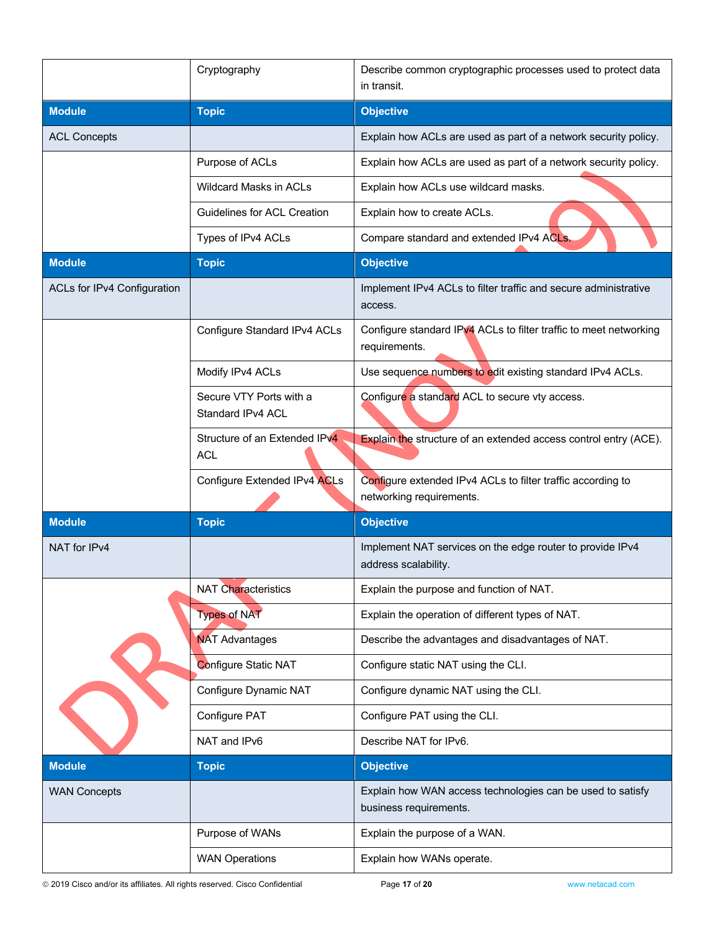|                             | Cryptography                                 | Describe common cryptographic processes used to protect data<br>in transit.             |
|-----------------------------|----------------------------------------------|-----------------------------------------------------------------------------------------|
| <b>Module</b>               | <b>Topic</b>                                 | <b>Objective</b>                                                                        |
| <b>ACL Concepts</b>         |                                              | Explain how ACLs are used as part of a network security policy.                         |
|                             | Purpose of ACLs                              | Explain how ACLs are used as part of a network security policy.                         |
|                             | <b>Wildcard Masks in ACLs</b>                | Explain how ACLs use wildcard masks.                                                    |
|                             | <b>Guidelines for ACL Creation</b>           | Explain how to create ACLs.                                                             |
|                             | Types of IPv4 ACLs                           | Compare standard and extended IPv4 ACLs.                                                |
| <b>Module</b>               | <b>Topic</b>                                 | <b>Objective</b>                                                                        |
| ACLs for IPv4 Configuration |                                              | Implement IPv4 ACLs to filter traffic and secure administrative<br>access.              |
|                             | Configure Standard IPv4 ACLs                 | Configure standard IPv4 ACLs to filter traffic to meet networking<br>requirements.      |
|                             | Modify IPv4 ACLs                             | Use sequence numbers to edit existing standard IPv4 ACLs.                               |
|                             | Secure VTY Ports with a<br>Standard IPv4 ACL | Configure a standard ACL to secure vty access.                                          |
|                             | Structure of an Extended IPv4<br><b>ACL</b>  | Explain the structure of an extended access control entry (ACE).                        |
|                             | Configure Extended IPv4 ACLs                 | Configure extended IPv4 ACLs to filter traffic according to<br>networking requirements. |
| <b>Module</b>               | <b>Topic</b>                                 | <b>Objective</b>                                                                        |
| NAT for IPv4                |                                              | Implement NAT services on the edge router to provide IPv4<br>address scalability.       |
|                             | <b>NAT Characteristics</b>                   | Explain the purpose and function of NAT.                                                |
|                             | <b>Types of NAT</b>                          | Explain the operation of different types of NAT.                                        |
|                             | <b>NAT Advantages</b>                        | Describe the advantages and disadvantages of NAT.                                       |
|                             | Configure Static NAT                         | Configure static NAT using the CLI.                                                     |
|                             | Configure Dynamic NAT                        | Configure dynamic NAT using the CLI.                                                    |
|                             | Configure PAT                                | Configure PAT using the CLI.                                                            |
|                             | NAT and IPv6                                 | Describe NAT for IPv6.                                                                  |
| <b>Module</b>               | <b>Topic</b>                                 | <b>Objective</b>                                                                        |
| <b>WAN Concepts</b>         |                                              | Explain how WAN access technologies can be used to satisfy<br>business requirements.    |
|                             | Purpose of WANs                              | Explain the purpose of a WAN.                                                           |
|                             | <b>WAN Operations</b>                        | Explain how WANs operate.                                                               |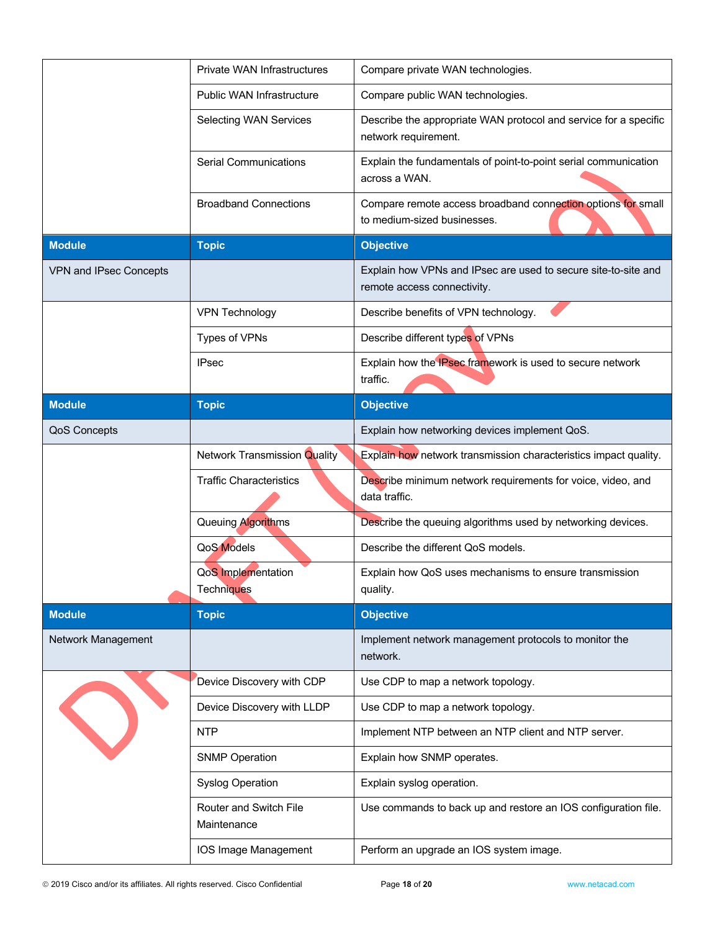| Public WAN Infrastructure<br>Compare public WAN technologies.<br>Describe the appropriate WAN protocol and service for a specific<br><b>Selecting WAN Services</b><br>network requirement.<br><b>Serial Communications</b><br>Explain the fundamentals of point-to-point serial communication<br>across a WAN.<br>Compare remote access broadband connection options for small<br><b>Broadband Connections</b><br>to medium-sized businesses.<br><b>Module</b><br><b>Objective</b><br><b>Topic</b><br>Explain how VPNs and IPsec are used to secure site-to-site and<br>VPN and IPsec Concepts<br>remote access connectivity.<br>Describe benefits of VPN technology.<br><b>VPN Technology</b><br>Types of VPNs<br>Describe different types of VPNs<br>Explain how the IPsec framework is used to secure network<br><b>IPsec</b><br>traffic.<br><b>Objective</b><br><b>Module</b><br><b>Topic</b><br>QoS Concepts<br>Explain how networking devices implement QoS.<br><b>Network Transmission Quality</b><br>Explain how network transmission characteristics impact quality.<br><b>Traffic Characteristics</b><br>Describe minimum network requirements for voice, video, and<br>data traffic.<br>Queuing Algorithms<br>Describe the queuing algorithms used by networking devices.<br><b>QoS Models</b><br>Describe the different QoS models.<br>QoS Implementation<br>Explain how QoS uses mechanisms to ensure transmission<br>Techniques<br>quality.<br><b>Objective</b><br><b>Module</b><br><b>Topic</b><br>Network Management<br>Implement network management protocols to monitor the<br>network.<br>Device Discovery with CDP<br>Use CDP to map a network topology.<br>Device Discovery with LLDP<br>Use CDP to map a network topology.<br><b>NTP</b><br>Implement NTP between an NTP client and NTP server.<br><b>SNMP Operation</b><br>Explain how SNMP operates.<br><b>Syslog Operation</b><br>Explain syslog operation.<br>Router and Switch File<br>Use commands to back up and restore an IOS configuration file.<br>Maintenance<br>IOS Image Management<br>Perform an upgrade an IOS system image. |  | Private WAN Infrastructures | Compare private WAN technologies. |
|--------------------------------------------------------------------------------------------------------------------------------------------------------------------------------------------------------------------------------------------------------------------------------------------------------------------------------------------------------------------------------------------------------------------------------------------------------------------------------------------------------------------------------------------------------------------------------------------------------------------------------------------------------------------------------------------------------------------------------------------------------------------------------------------------------------------------------------------------------------------------------------------------------------------------------------------------------------------------------------------------------------------------------------------------------------------------------------------------------------------------------------------------------------------------------------------------------------------------------------------------------------------------------------------------------------------------------------------------------------------------------------------------------------------------------------------------------------------------------------------------------------------------------------------------------------------------------------------------------------------------------------------------------------------------------------------------------------------------------------------------------------------------------------------------------------------------------------------------------------------------------------------------------------------------------------------------------------------------------------------------------------------------------------------------------------------------------------------------------------------|--|-----------------------------|-----------------------------------|
|                                                                                                                                                                                                                                                                                                                                                                                                                                                                                                                                                                                                                                                                                                                                                                                                                                                                                                                                                                                                                                                                                                                                                                                                                                                                                                                                                                                                                                                                                                                                                                                                                                                                                                                                                                                                                                                                                                                                                                                                                                                                                                                    |  |                             |                                   |
|                                                                                                                                                                                                                                                                                                                                                                                                                                                                                                                                                                                                                                                                                                                                                                                                                                                                                                                                                                                                                                                                                                                                                                                                                                                                                                                                                                                                                                                                                                                                                                                                                                                                                                                                                                                                                                                                                                                                                                                                                                                                                                                    |  |                             |                                   |
|                                                                                                                                                                                                                                                                                                                                                                                                                                                                                                                                                                                                                                                                                                                                                                                                                                                                                                                                                                                                                                                                                                                                                                                                                                                                                                                                                                                                                                                                                                                                                                                                                                                                                                                                                                                                                                                                                                                                                                                                                                                                                                                    |  |                             |                                   |
|                                                                                                                                                                                                                                                                                                                                                                                                                                                                                                                                                                                                                                                                                                                                                                                                                                                                                                                                                                                                                                                                                                                                                                                                                                                                                                                                                                                                                                                                                                                                                                                                                                                                                                                                                                                                                                                                                                                                                                                                                                                                                                                    |  |                             |                                   |
|                                                                                                                                                                                                                                                                                                                                                                                                                                                                                                                                                                                                                                                                                                                                                                                                                                                                                                                                                                                                                                                                                                                                                                                                                                                                                                                                                                                                                                                                                                                                                                                                                                                                                                                                                                                                                                                                                                                                                                                                                                                                                                                    |  |                             |                                   |
|                                                                                                                                                                                                                                                                                                                                                                                                                                                                                                                                                                                                                                                                                                                                                                                                                                                                                                                                                                                                                                                                                                                                                                                                                                                                                                                                                                                                                                                                                                                                                                                                                                                                                                                                                                                                                                                                                                                                                                                                                                                                                                                    |  |                             |                                   |
|                                                                                                                                                                                                                                                                                                                                                                                                                                                                                                                                                                                                                                                                                                                                                                                                                                                                                                                                                                                                                                                                                                                                                                                                                                                                                                                                                                                                                                                                                                                                                                                                                                                                                                                                                                                                                                                                                                                                                                                                                                                                                                                    |  |                             |                                   |
|                                                                                                                                                                                                                                                                                                                                                                                                                                                                                                                                                                                                                                                                                                                                                                                                                                                                                                                                                                                                                                                                                                                                                                                                                                                                                                                                                                                                                                                                                                                                                                                                                                                                                                                                                                                                                                                                                                                                                                                                                                                                                                                    |  |                             |                                   |
|                                                                                                                                                                                                                                                                                                                                                                                                                                                                                                                                                                                                                                                                                                                                                                                                                                                                                                                                                                                                                                                                                                                                                                                                                                                                                                                                                                                                                                                                                                                                                                                                                                                                                                                                                                                                                                                                                                                                                                                                                                                                                                                    |  |                             |                                   |
|                                                                                                                                                                                                                                                                                                                                                                                                                                                                                                                                                                                                                                                                                                                                                                                                                                                                                                                                                                                                                                                                                                                                                                                                                                                                                                                                                                                                                                                                                                                                                                                                                                                                                                                                                                                                                                                                                                                                                                                                                                                                                                                    |  |                             |                                   |
|                                                                                                                                                                                                                                                                                                                                                                                                                                                                                                                                                                                                                                                                                                                                                                                                                                                                                                                                                                                                                                                                                                                                                                                                                                                                                                                                                                                                                                                                                                                                                                                                                                                                                                                                                                                                                                                                                                                                                                                                                                                                                                                    |  |                             |                                   |
|                                                                                                                                                                                                                                                                                                                                                                                                                                                                                                                                                                                                                                                                                                                                                                                                                                                                                                                                                                                                                                                                                                                                                                                                                                                                                                                                                                                                                                                                                                                                                                                                                                                                                                                                                                                                                                                                                                                                                                                                                                                                                                                    |  |                             |                                   |
|                                                                                                                                                                                                                                                                                                                                                                                                                                                                                                                                                                                                                                                                                                                                                                                                                                                                                                                                                                                                                                                                                                                                                                                                                                                                                                                                                                                                                                                                                                                                                                                                                                                                                                                                                                                                                                                                                                                                                                                                                                                                                                                    |  |                             |                                   |
|                                                                                                                                                                                                                                                                                                                                                                                                                                                                                                                                                                                                                                                                                                                                                                                                                                                                                                                                                                                                                                                                                                                                                                                                                                                                                                                                                                                                                                                                                                                                                                                                                                                                                                                                                                                                                                                                                                                                                                                                                                                                                                                    |  |                             |                                   |
|                                                                                                                                                                                                                                                                                                                                                                                                                                                                                                                                                                                                                                                                                                                                                                                                                                                                                                                                                                                                                                                                                                                                                                                                                                                                                                                                                                                                                                                                                                                                                                                                                                                                                                                                                                                                                                                                                                                                                                                                                                                                                                                    |  |                             |                                   |
|                                                                                                                                                                                                                                                                                                                                                                                                                                                                                                                                                                                                                                                                                                                                                                                                                                                                                                                                                                                                                                                                                                                                                                                                                                                                                                                                                                                                                                                                                                                                                                                                                                                                                                                                                                                                                                                                                                                                                                                                                                                                                                                    |  |                             |                                   |
|                                                                                                                                                                                                                                                                                                                                                                                                                                                                                                                                                                                                                                                                                                                                                                                                                                                                                                                                                                                                                                                                                                                                                                                                                                                                                                                                                                                                                                                                                                                                                                                                                                                                                                                                                                                                                                                                                                                                                                                                                                                                                                                    |  |                             |                                   |
|                                                                                                                                                                                                                                                                                                                                                                                                                                                                                                                                                                                                                                                                                                                                                                                                                                                                                                                                                                                                                                                                                                                                                                                                                                                                                                                                                                                                                                                                                                                                                                                                                                                                                                                                                                                                                                                                                                                                                                                                                                                                                                                    |  |                             |                                   |
|                                                                                                                                                                                                                                                                                                                                                                                                                                                                                                                                                                                                                                                                                                                                                                                                                                                                                                                                                                                                                                                                                                                                                                                                                                                                                                                                                                                                                                                                                                                                                                                                                                                                                                                                                                                                                                                                                                                                                                                                                                                                                                                    |  |                             |                                   |
|                                                                                                                                                                                                                                                                                                                                                                                                                                                                                                                                                                                                                                                                                                                                                                                                                                                                                                                                                                                                                                                                                                                                                                                                                                                                                                                                                                                                                                                                                                                                                                                                                                                                                                                                                                                                                                                                                                                                                                                                                                                                                                                    |  |                             |                                   |
|                                                                                                                                                                                                                                                                                                                                                                                                                                                                                                                                                                                                                                                                                                                                                                                                                                                                                                                                                                                                                                                                                                                                                                                                                                                                                                                                                                                                                                                                                                                                                                                                                                                                                                                                                                                                                                                                                                                                                                                                                                                                                                                    |  |                             |                                   |
|                                                                                                                                                                                                                                                                                                                                                                                                                                                                                                                                                                                                                                                                                                                                                                                                                                                                                                                                                                                                                                                                                                                                                                                                                                                                                                                                                                                                                                                                                                                                                                                                                                                                                                                                                                                                                                                                                                                                                                                                                                                                                                                    |  |                             |                                   |
|                                                                                                                                                                                                                                                                                                                                                                                                                                                                                                                                                                                                                                                                                                                                                                                                                                                                                                                                                                                                                                                                                                                                                                                                                                                                                                                                                                                                                                                                                                                                                                                                                                                                                                                                                                                                                                                                                                                                                                                                                                                                                                                    |  |                             |                                   |
|                                                                                                                                                                                                                                                                                                                                                                                                                                                                                                                                                                                                                                                                                                                                                                                                                                                                                                                                                                                                                                                                                                                                                                                                                                                                                                                                                                                                                                                                                                                                                                                                                                                                                                                                                                                                                                                                                                                                                                                                                                                                                                                    |  |                             |                                   |
|                                                                                                                                                                                                                                                                                                                                                                                                                                                                                                                                                                                                                                                                                                                                                                                                                                                                                                                                                                                                                                                                                                                                                                                                                                                                                                                                                                                                                                                                                                                                                                                                                                                                                                                                                                                                                                                                                                                                                                                                                                                                                                                    |  |                             |                                   |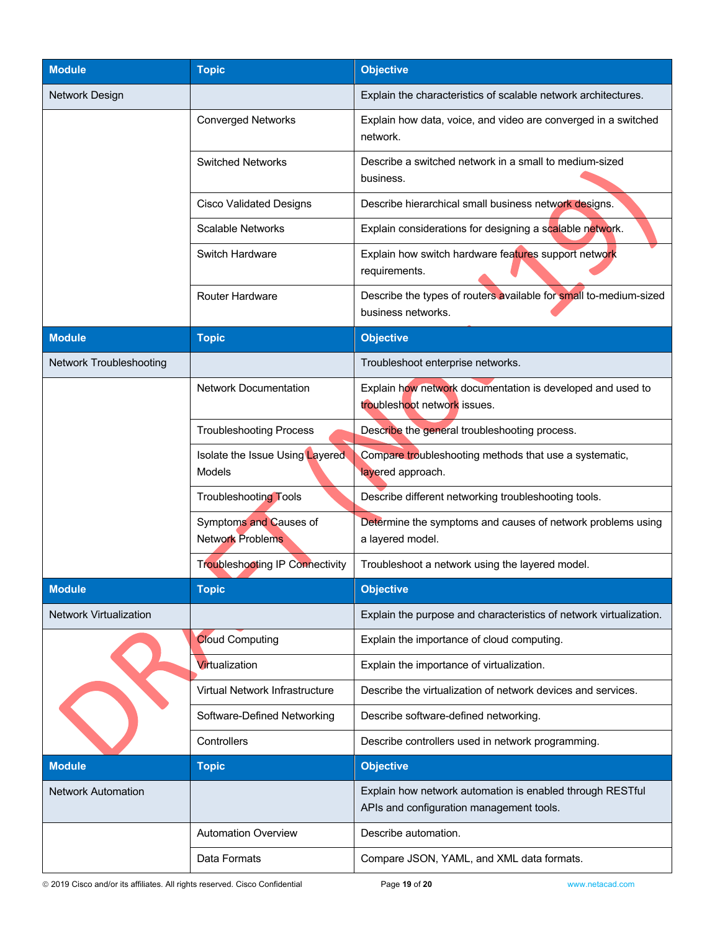| <b>Module</b>                  | <b>Topic</b>                                      | <b>Objective</b>                                                                                      |
|--------------------------------|---------------------------------------------------|-------------------------------------------------------------------------------------------------------|
| Network Design                 |                                                   | Explain the characteristics of scalable network architectures.                                        |
|                                | <b>Converged Networks</b>                         | Explain how data, voice, and video are converged in a switched<br>network.                            |
|                                | <b>Switched Networks</b>                          | Describe a switched network in a small to medium-sized<br>business.                                   |
|                                | <b>Cisco Validated Designs</b>                    | Describe hierarchical small business network designs.                                                 |
|                                | <b>Scalable Networks</b>                          | Explain considerations for designing a scalable network.                                              |
|                                | Switch Hardware                                   | Explain how switch hardware features support network<br>requirements.                                 |
|                                | <b>Router Hardware</b>                            | Describe the types of routers available for small to-medium-sized<br>business networks.               |
| <b>Module</b>                  | <b>Topic</b>                                      | <b>Objective</b>                                                                                      |
| <b>Network Troubleshooting</b> |                                                   | Troubleshoot enterprise networks.                                                                     |
|                                | <b>Network Documentation</b>                      | Explain how network documentation is developed and used to<br>troubleshoot network issues.            |
|                                | <b>Troubleshooting Process</b>                    | Describe the general troubleshooting process.                                                         |
|                                | Isolate the Issue Using Layered<br>Models         | Compare troubleshooting methods that use a systematic,<br>layered approach.                           |
|                                | <b>Troubleshooting Tools</b>                      | Describe different networking troubleshooting tools.                                                  |
|                                | Symptoms and Causes of<br><b>Network Problems</b> | Determine the symptoms and causes of network problems using<br>a layered model.                       |
|                                | <b>Troubleshooting IP Connectivity</b>            | Troubleshoot a network using the layered model.                                                       |
| <b>Module</b>                  | <b>Topic</b>                                      | <b>Objective</b>                                                                                      |
| <b>Network Virtualization</b>  |                                                   | Explain the purpose and characteristics of network virtualization.                                    |
|                                | <b>Cloud Computing</b>                            | Explain the importance of cloud computing.                                                            |
|                                | Virtualization                                    | Explain the importance of virtualization.                                                             |
|                                | Virtual Network Infrastructure                    | Describe the virtualization of network devices and services.                                          |
|                                | Software-Defined Networking                       | Describe software-defined networking.                                                                 |
|                                | Controllers                                       | Describe controllers used in network programming.                                                     |
| <b>Module</b>                  | <b>Topic</b>                                      | <b>Objective</b>                                                                                      |
| <b>Network Automation</b>      |                                                   | Explain how network automation is enabled through RESTful<br>APIs and configuration management tools. |
|                                | <b>Automation Overview</b>                        | Describe automation.                                                                                  |
|                                | Data Formats                                      | Compare JSON, YAML, and XML data formats.                                                             |